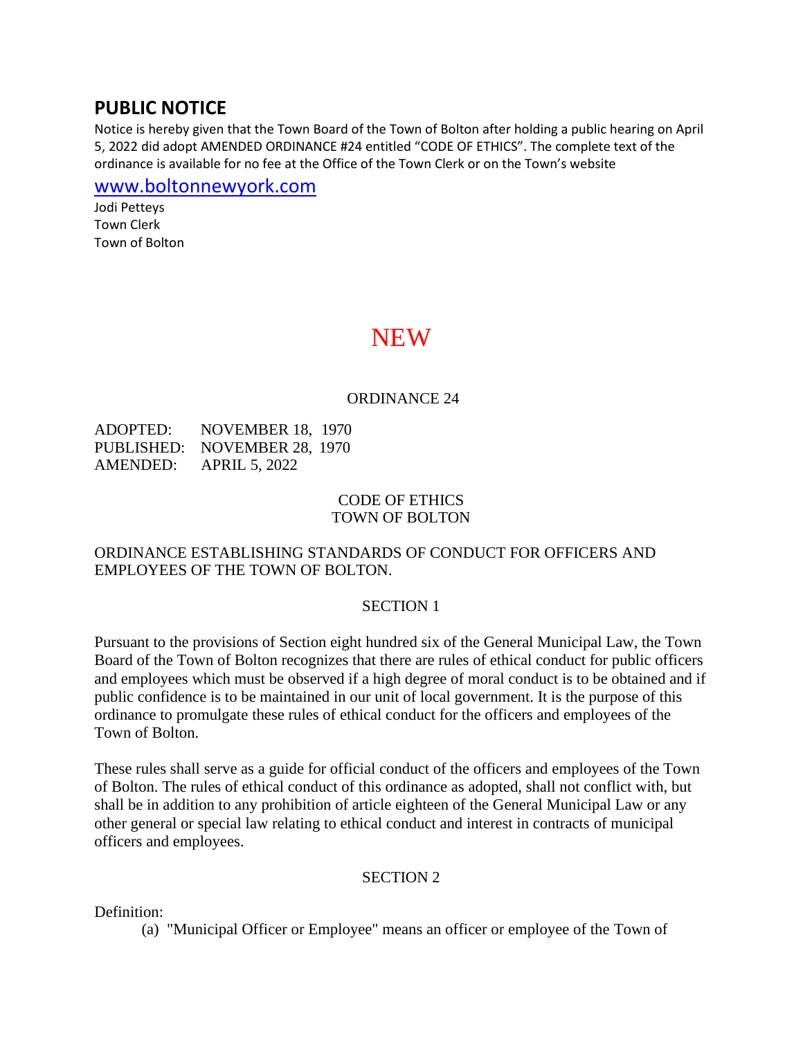## **PUBLIC NOTICE**

Notice is hereby given that the Town Board of the Town of Bolton after holding a public hearing on April 5, 2022 did adopt AMENDED ORDINANCE #24 entitled "CODE OF ETHICS". The complete text of the ordinance is available for no fee at the Office of the Town Clerk or on the Town's website

[www.boltonnewyork.com](http://www.boltonnewyork.com/)

Jodi Petteys Town Clerk Town of Bolton

# **NEW**

#### ORDINANCE 24

ADOPTED: NOVEMBER 18, 1970 PUBLISHED: NOVEMBER 28, 1970 AMENDED: APRIL 5, 2022

#### CODE OF ETHICS TOWN OF BOLTON

#### ORDINANCE ESTABLISHING STANDARDS OF CONDUCT FOR OFFICERS AND EMPLOYEES OF THE TOWN OF BOLTON.

#### SECTION 1

Pursuant to the provisions of Section eight hundred six of the General Municipal Law, the Town Board of the Town of Bolton recognizes that there are rules of ethical conduct for public officers and employees which must be observed if a high degree of moral conduct is to be obtained and if public confidence is to be maintained in our unit of local government. It is the purpose of this ordinance to promulgate these rules of ethical conduct for the officers and employees of the Town of Bolton.

These rules shall serve as a guide for official conduct of the officers and employees of the Town of Bolton. The rules of ethical conduct of this ordinance as adopted, shall not conflict with, but shall be in addition to any prohibition of article eighteen of the General Municipal Law or any other general or special law relating to ethical conduct and interest in contracts of municipal officers and employees.

#### SECTION 2

Definition:

(a) "Municipal Officer or Employee" means an officer or employee of the Town of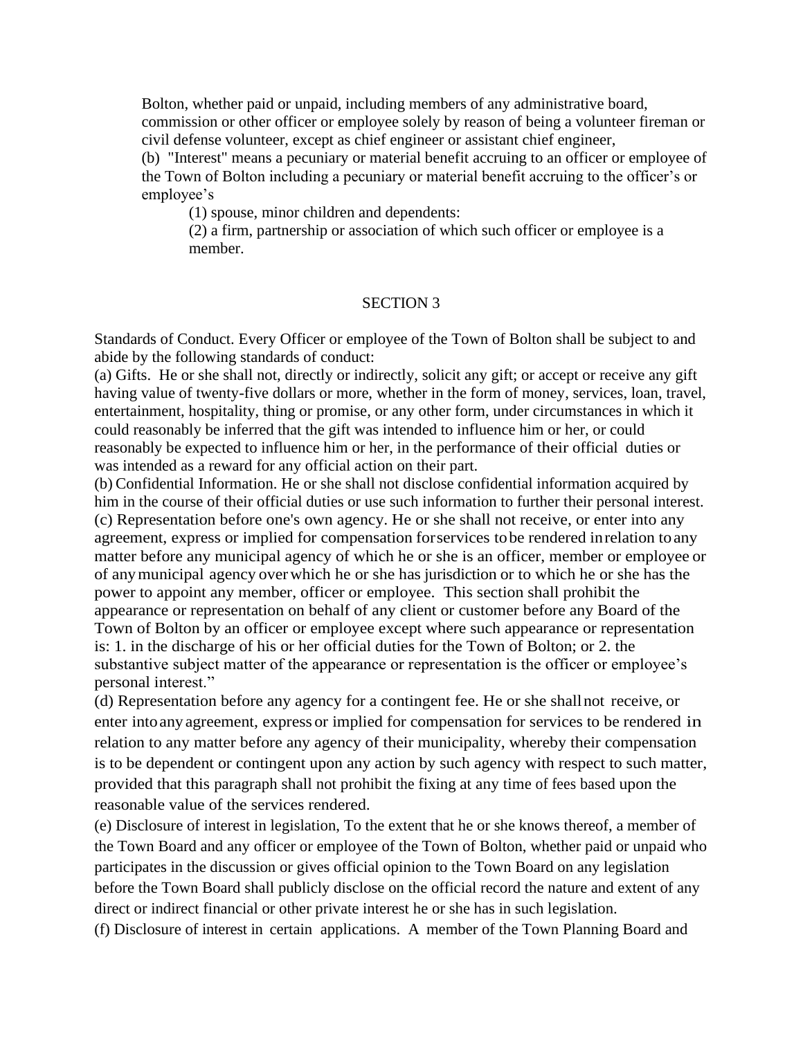Bolton, whether paid or unpaid, including members of any administrative board, commission or other officer or employee solely by reason of being a volunteer fireman or civil defense volunteer, except as chief engineer or assistant chief engineer,

(b) "Interest" means a pecuniary or material benefit accruing to an officer or employee of the Town of Bolton including a pecuniary or material benefit accruing to the officer's or employee's

(1) spouse, minor children and dependents:

(2) a firm, partnership or association of which such officer or employee is a member.

#### SECTION 3

Standards of Conduct. Every Officer or employee of the Town of Bolton shall be subject to and abide by the following standards of conduct:

(a) Gifts. He or she shall not, directly or indirectly, solicit any gift; or accept or receive any gift having value of twenty-five dollars or more, whether in the form of money, services, loan, travel, entertainment, hospitality, thing or promise, or any other form, under circumstances in which it could reasonably be inferred that the gift was intended to influence him or her, or could reasonably be expected to influence him or her, in the performance of their official duties or was intended as a reward for any official action on their part.

(b) Confidential Information. He or she shall not disclose confidential information acquired by him in the course of their official duties or use such information to further their personal interest. (c) Representation before one's own agency. He or she shall not receive, or enter into any agreement, express or implied for compensation forservices tobe rendered inrelation toany matter before any municipal agency of which he or she is an officer, member or employee or of anymunicipal agency overwhich he or she has jurisdiction or to which he or she has the power to appoint any member, officer or employee. This section shall prohibit the appearance or representation on behalf of any client or customer before any Board of the Town of Bolton by an officer or employee except where such appearance or representation is: 1. in the discharge of his or her official duties for the Town of Bolton; or 2. the substantive subject matter of the appearance or representation is the officer or employee's personal interest."

(d) Representation before any agency for a contingent fee. He or she shallnot receive, or enter intoanyagreement, express or implied for compensation for services to be rendered in relation to any matter before any agency of their municipality, whereby their compensation is to be dependent or contingent upon any action by such agency with respect to such matter, provided that this paragraph shall not prohibit the fixing at any time of fees based upon the reasonable value of the services rendered.

(e) Disclosure of interest in legislation, To the extent that he or she knows thereof, a member of the Town Board and any officer or employee of the Town of Bolton, whether paid or unpaid who participates in the discussion or gives official opinion to the Town Board on any legislation before the Town Board shall publicly disclose on the official record the nature and extent of any direct or indirect financial or other private interest he or she has in such legislation.

(f) Disclosure of interest in certain applications. A member of the Town Planning Board and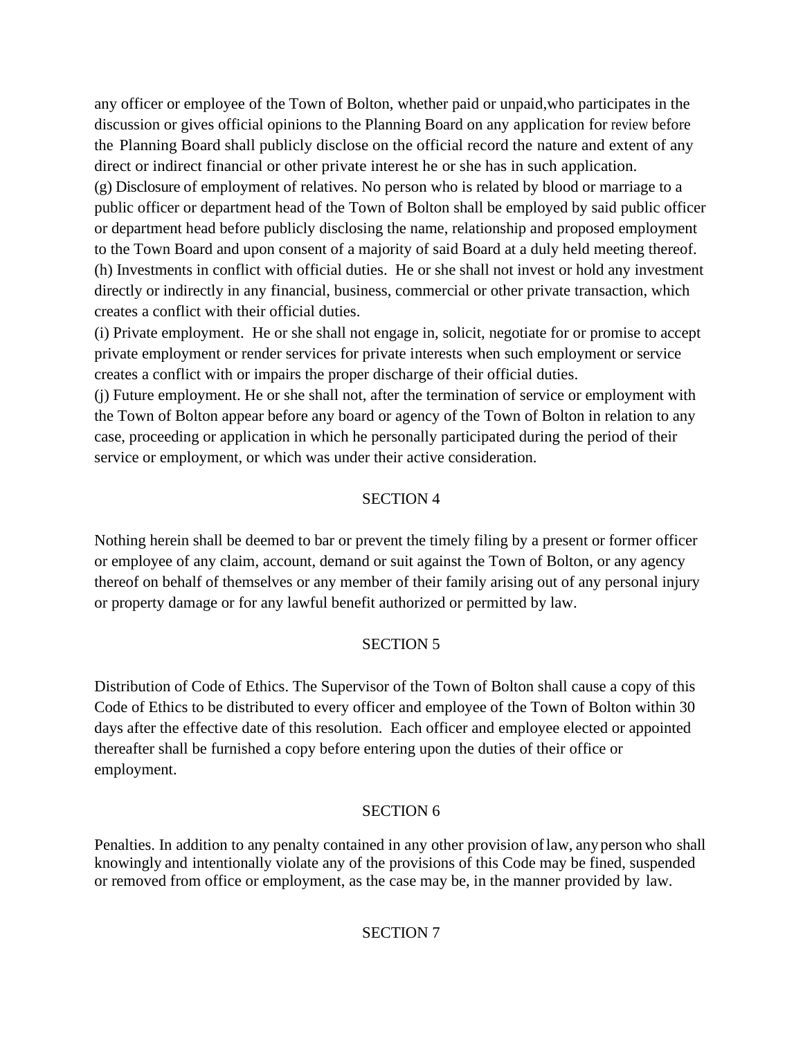any officer or employee of the Town of Bolton, whether paid or unpaid,who participates in the discussion or gives official opinions to the Planning Board on any application for review before the Planning Board shall publicly disclose on the official record the nature and extent of any direct or indirect financial or other private interest he or she has in such application.

(g) Disclosure of employment of relatives. No person who is related by blood or marriage to a public officer or department head of the Town of Bolton shall be employed by said public officer or department head before publicly disclosing the name, relationship and proposed employment to the Town Board and upon consent of a majority of said Board at a duly held meeting thereof. (h) Investments in conflict with official duties. He or she shall not invest or hold any investment directly or indirectly in any financial, business, commercial or other private transaction, which creates a conflict with their official duties.

(i) Private employment. He or she shall not engage in, solicit, negotiate for or promise to accept private employment or render services for private interests when such employment or service creates a conflict with or impairs the proper discharge of their official duties.

(j) Future employment. He or she shall not, after the termination of service or employment with the Town of Bolton appear before any board or agency of the Town of Bolton in relation to any case, proceeding or application in which he personally participated during the period of their service or employment, or which was under their active consideration.

#### SECTION 4

Nothing herein shall be deemed to bar or prevent the timely filing by a present or former officer or employee of any claim, account, demand or suit against the Town of Bolton, or any agency thereof on behalf of themselves or any member of their family arising out of any personal injury or property damage or for any lawful benefit authorized or permitted by law.

## SECTION 5

Distribution of Code of Ethics. The Supervisor of the Town of Bolton shall cause a copy of this Code of Ethics to be distributed to every officer and employee of the Town of Bolton within 30 days after the effective date of this resolution. Each officer and employee elected or appointed thereafter shall be furnished a copy before entering upon the duties of their office or employment.

## SECTION 6

Penalties. In addition to any penalty contained in any other provision oflaw, anyperson who shall knowingly and intentionally violate any of the provisions of this Code may be fined, suspended or removed from office or employment, as the case may be, in the manner provided by law.

## SECTION 7